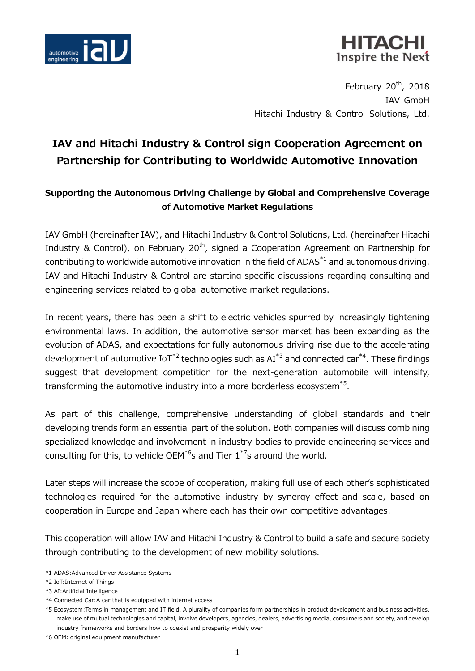

## HITACH Inspire the Next

February  $20<sup>th</sup>$ , 2018 IAV GmbH Hitachi Industry & Control Solutions, Ltd.

# **IAV and Hitachi Industry & Control sign Cooperation Agreement on Partnership for Contributing to Worldwide Automotive Innovation**

### **Supporting the Autonomous Driving Challenge by Global and Comprehensive Coverage of Automotive Market Regulations**

IAV GmbH (hereinafter IAV), and Hitachi Industry & Control Solutions, Ltd. (hereinafter Hitachi Industry & Control), on February  $20<sup>th</sup>$ , signed a Cooperation Agreement on Partnership for contributing to worldwide automotive innovation in the field of ADAS $^*$ <sup>1</sup> and autonomous driving. IAV and Hitachi Industry & Control are starting specific discussions regarding consulting and engineering services related to global automotive market regulations.

In recent years, there has been a shift to electric vehicles spurred by increasingly tightening environmental laws. In addition, the automotive sensor market has been expanding as the evolution of ADAS, and expectations for fully autonomous driving rise due to the accelerating development of automotive  $I\circ T^{*2}$  technologies such as  $AI^{*3}$  and connected car<sup>\*4</sup>. These findings suggest that development competition for the next-generation automobile will intensify, transforming the automotive industry into a more borderless ecosystem<sup>\*5</sup>.

As part of this challenge, comprehensive understanding of global standards and their developing trends form an essential part of the solution. Both companies will discuss combining specialized knowledge and involvement in industry bodies to provide engineering services and consulting for this, to vehicle OEM<sup>\*6</sup>s and Tier  $1^{*7}$ s around the world.

Later steps will increase the scope of cooperation, making full use of each other's sophisticated technologies required for the automotive industry by synergy effect and scale, based on cooperation in Europe and Japan where each has their own competitive advantages.

This cooperation will allow IAV and Hitachi Industry & Control to build a safe and secure society through contributing to the development of new mobility solutions.

<sup>\*1</sup> ADAS:Advanced Driver Assistance Systems

<sup>\*2</sup> IoT:Internet of Things

<sup>\*3</sup> AI:Artificial Intelligence

<sup>\*4</sup> Connected Car:A car that is equipped with internet access

<sup>\*5</sup> Ecosystem:Terms in management and IT field. A plurality of companies form partnerships in product development and business activities, make use of mutual technologies and capital, involve developers, agencies, dealers, advertising media, consumers and society, and develop industry frameworks and borders how to coexist and prosperity widely over

<sup>\*6</sup> OEM: original equipment manufacturer